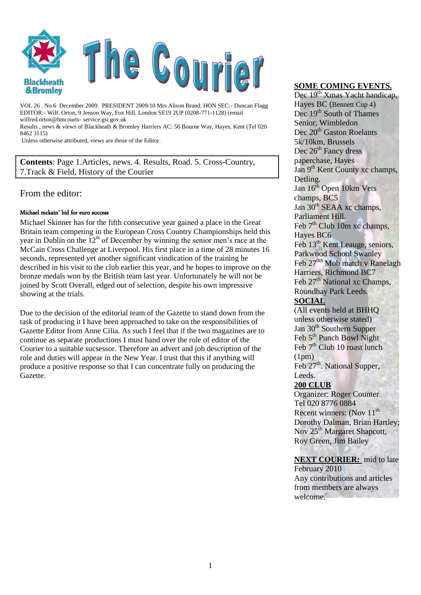

VOL 26 . No.6 December 2009. PRESIDENT 2009/10 Mrs Alison Brand. HON SEC:- Duncan Flagg EDITOR:- Wilf. Orton, 9 Jenson Way, Fox Hill, London SE19 2UP (0208-771-1128) (email wilfred.orton@hmcourts- service.gsi.gov.uk

Results , news & views of Blackheath & Bromley Harriers AC: 56 Bourne Way, Hayes, Kent (Tel 020 8462 3115)

Unless otherwise attributed, views are those of the Editor.

**Contents**: Page 1.Articles, news. 4. Results, Road. 5. Cross-Country, 7.Track & Field, History of the Courier

# From the editor:

#### Michael mckain' bid for euro success

Michael Skinner has for the fifth consecutive year gained a place in the Great Britain team competing in the European Cross Country Championships held this year in Dublin on the  $12<sup>th</sup>$  of December by winning the senior men's race at the McCain Cross Challenge at Liverpool. His first place in a time of 28 minutes 16 seconds, represented yet another significant vindication of the training he described in his visit to the club earlier this year, and he hopes to improve on the bronze medals won by the British team last year. Unfortunately he will not be joined by Scott Overall, edged out of selection, despite his own impressive showing at the trials.

Due to the decision of the editorial team of the Gazette to stand down from the task of producing it I have been approached to take on the responsibilities of Gazette Editor from Anne Cilia. As such I feel that if the two magazines are to continue as separate productions I must hand over the role of editor of the Courier to a suitable sucsessor. Therefore an advert and job description of the role and duties will appear in the New Year. I trust that this if anything will produce a positive response so that I can concentrate fully on producing the Gazette.

#### **SOME COMING EVENTS.**

Dec 19<sup>th</sup> Xmas Yacht handicap, Hayes BC (Bennett Cup 4) Dec 19<sup>th</sup> South of Thames Senior, Wimbledon Dec 20<sup>th</sup> Gaston Roelants 5k/10km, Brussels Dec 26<sup>th</sup> Fancy dress paperchase, Hayes Jan 9<sup>th</sup> Kent County xc champs, Detling. Jan  $16<sup>th</sup>$  Open 10km Vets champs, BC5 Jan  $30<sup>th</sup>$  SEAA xc champs, Parliament Hill. Feb  $7<sup>th</sup>$  Club 10m xc champs. Hayes BC6 Feb 13<sup>th</sup> Kent Leauge, seniors, Parkwood School Swanley Feb 27<sup>0th</sup> Mob match v Ranelagh Harriers, Richmond BC7 Feb 27<sup>th</sup> National xc Champs, Roundhay Park Leeds. **SOCIAL** (All events held at BHHQ unless otherwise stated)

Jan 30<sup>th</sup> Southern Supper Feb 5<sup>th</sup> Punch Bowl Night Feb  $7<sup>th</sup>$  Club 10 roast lunch  $(1pm)$ 

Feb 27<sup>th</sup>. National Supper, Leeds.

## **200 CLUB**

Organizer: Roger Counter Tel 020 8776 0884 Recent winners: (Nov 11<sup>th</sup>) Dorothy Dalman, Brian Hartley; Nov 25<sup>th</sup> Margaret Shapcott. Roy Green, Jim Bailey

## **NEXT COURIER:** mid to late

February 2010 Any contributions and articles from members are always welcome.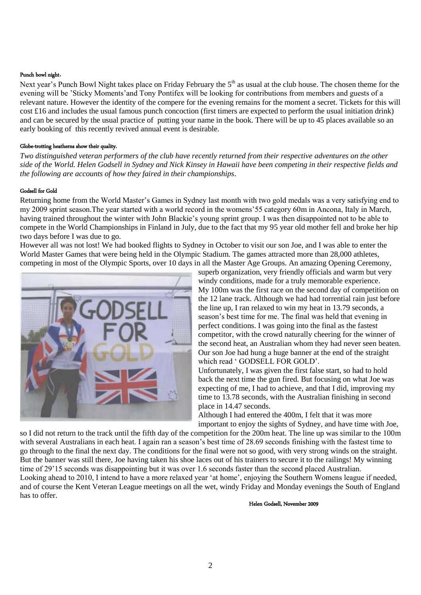#### Punch bowl night.

Next year's Punch Bowl Night takes place on Friday February the 5<sup>th</sup> as usual at the club house. The chosen theme for the evening will be "Sticky Moments"and Tony Pontifex will be looking for contributions from members and guests of a relevant nature. However the identity of the compere for the evening remains for the moment a secret. Tickets for this will cost £16 and includes the usual famous punch concoction (first timers are expected to perform the usual initiation drink) and can be secured by the usual practice of putting your name in the book. There will be up to 45 places available so an early booking of this recently revived annual event is desirable.

#### Globe-trotting heatherns show their quality.

*Two distinguished veteran performers of the club have recently returned from their respective adventures on the other side of the World. Helen Godsell in Sydney and Nick Kinsey in Hawaii have been competing in their respective fields and the following are accounts of how they faired in their championships*.

#### Godsell for Gold

Returning home from the World Master"s Games in Sydney last month with two gold medals was a very satisfying end to my 2009 sprint season.The year started with a world record in the womens"55 category 60m in Ancona, Italy in March, having trained throughout the winter with John Blackie"s young sprint group. I was then disappointed not to be able to compete in the World Championships in Finland in July, due to the fact that my 95 year old mother fell and broke her hip two days before I was due to go.

However all was not lost! We had booked flights to Sydney in October to visit our son Joe, and I was able to enter the World Master Games that were being held in the Olympic Stadium. The games attracted more than 28,000 athletes, competing in most of the Olympic Sports, over 10 days in all the Master Age Groups. An amazing Opening Ceremony,



superb organization, very friendly officials and warm but very windy conditions, made for a truly memorable experience. My 100m was the first race on the second day of competition on the 12 lane track. Although we had had torrential rain just before the line up, I ran relaxed to win my heat in 13.79 seconds, a season"s best time for me. The final was held that evening in perfect conditions. I was going into the final as the fastest competitor, with the crowd naturally cheering for the winner of the second heat, an Australian whom they had never seen beaten. Our son Joe had hung a huge banner at the end of the straight which read ' GODSELL FOR GOLD'.

Unfortunately, I was given the first false start, so had to hold back the next time the gun fired. But focusing on what Joe was expecting of me, I had to achieve, and that I did, improving my time to 13.78 seconds, with the Australian finishing in second place in 14.47 seconds.

Although I had entered the 400m, I felt that it was more important to enjoy the sights of Sydney, and have time with Joe,

so I did not return to the track until the fifth day of the competition for the 200m heat. The line up was similar to the 100m with several Australians in each heat. I again ran a season's best time of 28.69 seconds finishing with the fastest time to go through to the final the next day. The conditions for the final were not so good, with very strong winds on the straight. But the banner was still there, Joe having taken his shoe laces out of his trainers to secure it to the railings! My winning time of 29"15 seconds was disappointing but it was over 1.6 seconds faster than the second placed Australian. Looking ahead to 2010, I intend to have a more relaxed year "at home", enjoying the Southern Womens league if needed, and of course the Kent Veteran League meetings on all the wet, windy Friday and Monday evenings the South of England has to offer.

Helen Godsell, November 2009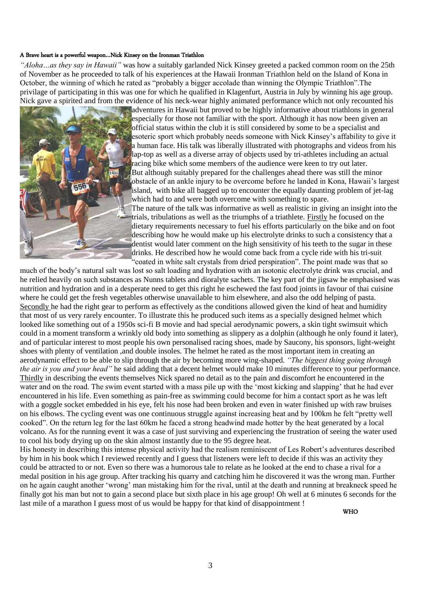#### A Brave heart is a powerful weapon…Nick Kinsey on the Ironman Triathlon

*"Aloha…as they say in Hawaii"* was how a suitably garlanded Nick Kinsey greeted a packed common room on the 25th of November as he proceeded to talk of his experiences at the Hawaii Ironman Triathlon held on the Island of Kona in October, the winning of which he rated as "probably a bigger accolade than winning the Olympic Triathlon".The privilage of participating in this was one for which he qualified in Klagenfurt, Austria in July by winning his age group. Nick gave a spirited and from the evidence of his neck-wear highly animated performance which not only recounted his



adventures in Hawaii but proved to be highly informative about triathlons in general especially for those not familiar with the sport. Although it has now been given an official status within the club it is still considered by some to be a specialist and esoteric sport which probably needs someone with Nick Kinsey"s affability to give it a human face. His talk was liberally illustrated with photographs and videos from his lap-top as well as a diverse array of objects used by tri-athletes including an actual racing bike which some members of the audience were keen to try out later. But although suitably prepared for the challenges ahead there was still the minor obstacle of an ankle injury to be overcome before he landed in Kona, Hawaii"s largest island, with bike all bagged up to encounter the equally daunting problem of jet-lag which had to and were both overcome with something to spare. The nature of the talk was informative as well as realistic in giving an insight into the trials, tribulations as well as the triumphs of a triathlete. Firstly he focused on the

dietary requirements necessary to fuel his efforts particularly on the bike and on foot describing how he would make up his electrolyte drinks to such a consistency that a dentist would later comment on the high sensitivity of his teeth to the sugar in these drinks. He described how he would come back from a cycle ride with his tri-suit "coated in white salt crystals from dried perspiration". The point made was that so

much of the body"s natural salt was lost so salt loading and hydration with an isotonic electrolyte drink was crucial, and he relied heavily on such substances as Nunns tablets and dioralyte sachets. The key part of the jigsaw he emphasised was nutrition and hydration and in a desperate need to get this right he eschewed the fast food joints in favour of thai cuisine where he could get the fresh vegetables otherwise unavailable to him elsewhere, and also the odd helping of pasta. Secondly he had the right gear to perform as effectively as the conditions allowed given the kind of heat and humidity that most of us very rarely encounter. To illustrate this he produced such items as a specially designed helmet which looked like something out of a 1950s sci-fi B movie and had special aerodynamic powers, a skin tight swimsuit which could in a moment transform a wrinkly old body into something as slippery as a dolphin (although he only found it later), and of particular interest to most people his own personalised racing shoes, made by Saucony, his sponsors, light-weight shoes with plenty of ventilation ,and double insoles. The helmet he rated as the most important item in creating an aerodynamic effect to be able to slip through the air by becoming more wing-shaped. *"The biggest thing going through the air is you and your head"* he said adding that a decent helmet would make 10 minutes difference to your performance. Thirdly in describing the events themselves Nick spared no detail as to the pain and discomfort he encountered in the water and on the road. The swim event started with a mass pile up with the 'most kicking and slapping' that he had ever encountered in his life. Even something as pain-free as swimming could become for him a contact sport as he was left with a goggle socket embedded in his eye, felt his nose had been broken and even in water finished up with raw bruises on his elbows. The cycling event was one continuous struggle against increasing heat and by 100km he felt "pretty well cooked". On the return leg for the last 60km he faced a strong headwind made hotter by the heat generated by a local volcano. As for the running event it was a case of just surviving and experiencing the frustration of seeing the water used to cool his body drying up on the skin almost instantly due to the 95 degree heat.

His honesty in describing this intense physical activity had the realism reminiscent of Les Robert's adventures described by him in his book which I reviewed recently and I guess that listeners were left to decide if this was an activity they could be attracted to or not. Even so there was a humorous tale to relate as he looked at the end to chase a rival for a medal position in his age group. After tracking his quarry and catching him he discovered it was the wrong man. Further on he again caught another "wrong" man mistaking him for the rival, until at the death and running at breakneck speed he finally got his man but not to gain a second place but sixth place in his age group! Oh well at 6 minutes 6 seconds for the last mile of a marathon I guess most of us would be happy for that kind of disappointment !

WHO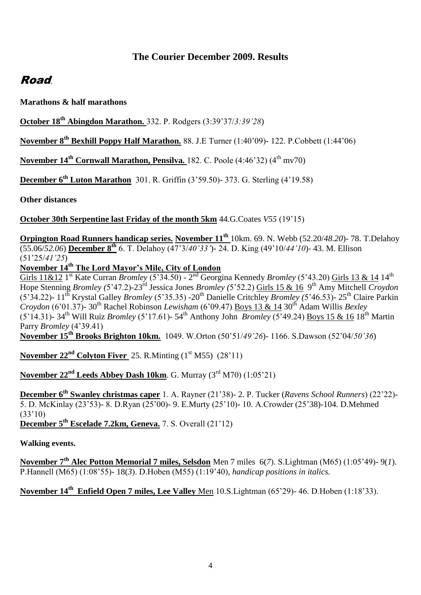# **The Courier December 2009. Results**

# Road.

**Marathons & half marathons**

**October 18th Abingdon Marathon.** 332. P. Rodgers (3:39"37/*3:39"28*)

**November 8th Bexhill Poppy Half Marathon.** 88. J.E Turner (1:40"09)- 122. P.Cobbett (1:44"06)

**November 14<sup>th</sup> Cornwall Marathon, Pensilva.** 182. C. Poole (4:46'32) (4<sup>th</sup> mv70)

**December 6th Luton Marathon** 301. R. Griffin (3"59.50)- 373. G. Sterling (4"19.58)

**Other distances**

**October 30th Serpentine last Friday of the month 5km** 44.G.Coates *V55* (19"15)

**Orpington Road Runners handicap series. November 11th** 10km. 69. N. Webb (52.20/*48.20*)- 78. T.Delahoy (55.06/*52.06*) **December 8th** 6. T. Delahoy (47"3/*40"33"*)- 24. D. King (49"10/*44"10*)- 43. M. Ellison (51"25/*41"25*)

**November 14th The Lord Mayor's Mile, City of London**

Girls 11&12 1<sup>st</sup> Kate Curran *Bromley* (5'34.50) - 2<sup>nd</sup> Georgina Kennedy *Bromley* (5'43.20) Girls 13 & 14 14<sup>th</sup> Hope Stenning *Bromley (*5"47.2)-23rd Jessica Jones *Bromley (*5"52.2) Girls 15 & 16 9 th Amy Mitchell *Croydon* (5"34.22)- 11th Krystal Galley *Bromley* (5"35.35) -20th Danielle Critchley *Bromley (*5"46.53)- 25th Claire Parkin *Croydon* (6"01.37)- 30th Rachel Robinson *Lewisham* (6"09.47) Boys 13 & 14 30th Adam Willis *Bexley*  (5"14.31)- 34th Will Ruiz *Bromley* (5"17.61)- 54th Anthony John *Bromley* (5"49.24) Boys 15 & 16 18th Martin Parry *Bromley* (4"39.41)

**November 15th Brooks Brighton 10km.** 1049. W.Orton (50"51/*49"26*)- 1166. S.Dawson (52"04/*50"36*)

**November 22<sup>nd</sup> Colyton Fiver** 25. R.Minting  $(1<sup>st</sup> M55)$   $(28'11)$ 

**November 22<sup>nd</sup> Leeds Abbey Dash 10km. G. Murray (3<sup>rd</sup> M70) (1:05'21)** 

**December 6th Swanley christmas caper** 1. A. Rayner (21"38)- 2. P. Tucker (*Ravens School Runners*) (22"22)- 5. D. McKinlay (23"53)- 8. D.Ryan (25"00)- 9. E.Murty (25"10)- 10. A.Crowder (25"38)-104. D.Mehmed  $(33'10)$ 

**December 5th Escelade 7.2km, Geneva.** 7. S. Overall (21"12)

**Walking events.**

**November 7th Alec Potton Memorial 7 miles, Selsdon** Men 7 miles 6(*7*). S.Lightman (M65) (1:05"49)- 9(*1*). P.Hannell (M65) (1:08"55)- 18(*3*). D.Hoben (M55) (1:19"40)*, handicap positions in italics.*

**November 14th Enfield Open 7 miles, Lee Valley** Men 10.S.Lightman (65"29)- 46. D.Hoben (1:18"33).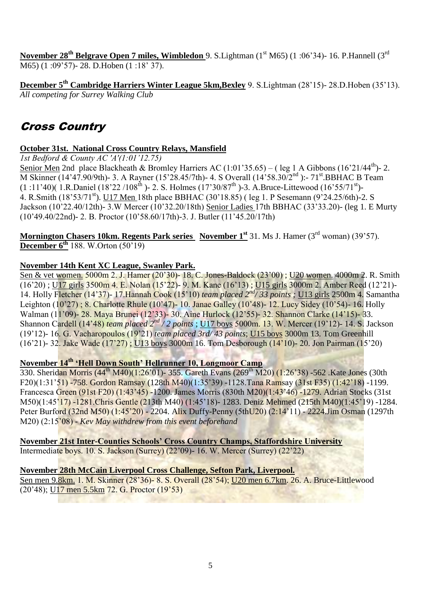**November 28<sup>th</sup> Belgrave Open 7 miles, Wimbledon** 9. S. Lightman (1<sup>st</sup> M65) (1:06'34)- 16. P. Hannell (3<sup>rd</sup> M65) (1:09'57)-28. D. Hoben (1:18' 37).

**December 5th Cambridge Harriers Winter League 5km,Bexley** 9. S.Lightman (28"15)- 28.D.Hoben (35"13). *All competing for Surrey Walking Club*

# Cross Country

# **October 31st. National Cross Country Relays, Mansfield**

*1st Bedford & County AC 'A'(1:01"12.75)*

Senior Men 2nd place Blackheath & Bromley Harriers AC  $(1:01'35.65) - ($ leg 1 A Gibbons  $(16'21/44<sup>th</sup>)$ - 2. M Skinner (14'47.90/9th)- 3. A Rayner (15'28.45/7th)- 4. S Overall (14'58.30/2<sup>nd</sup>):- 71<sup>st</sup>.BBHAC B Team  $(1:11'40)$  $(1.8.$ Daniel  $(18'22/108<sup>th</sup>)$ -2. S. Holmes  $(17'30/87<sup>th</sup>)$ -3. A.Bruce-Littewood  $(16'55/71<sup>st</sup>)$ -4. R.Smith (18"53/71st). U17 Men 18th place BBHAC (30"18.85) ( leg 1. P Sesemann (9"24.25/6th)-2. S Jackson (10"22.40/12th)- 3.W Mercer (10"32.20/18th) Senior Ladies 17th BBHAC (33"33.20)- (leg 1. E Murty (10"49.40/22nd)- 2. B. Proctor (10"58.60/17th)-3. J. Butler (11"45.20/17th)

**Mornington Chasers 10km. Regents Park series November 1<sup>st</sup> 31. Ms J. Hamer (3<sup>rd</sup> woman) (39'57). December 6<sup>th</sup>** 188. W.Orton (50'19)

# **November 14th Kent XC League, Swanley Park.**

Sen & vet women. 5000m 2. J. Hamer (20"30)- 18. C. Jones-Baldock (23"00) ; U20 women. 4000m 2. R. Smith (16"20) ; U17 girls 3500m 4. E. Nolan (15"22)- 9. M. Kane (16"13) ; U15 girls 3000m 2. Amber Reed (12"21)- 14. Holly Fletcher (14"37)- 17.Hannah Cook (15"10) *team placed 2nd/ 33 points ;* U13 girls 2500m 4. Samantha Leighton (10"27) ; 8. Charlotte Rhule (10"47)- 10. Janae Galley (10"48)- 12. Lucy Sidey (10"54)- 16. Holly Walman (11"09)- 28. Maya Brunei (12"33)- 30. Aine Hurlock (12"55)- 32. Shannon Clarke (14"15)- 33. Shannon Cardell (14"48) *team placed 2nd / 2 points* ; U17 boys 5000m. 13. W. Mercer (19"12)- 14. S. Jackson (19"12)- 16. G. Vacharopoulos (19"21) *team placed 3rd/ 43 points*; U15 boys 3000m 13. Tom Greenhill (16"21)- 32. Jake Wade (17"27) ; U13 boys 3000m 16. Tom Desborough (14"10)- 20. Jon Pairman (15"20)

# **November 14th 'Hell Down South' Hellrunner 10, Longmoor Camp**

330. Sheridan Morris (44<sup>th</sup> M40)(1:26'01)- 355. Gareth Evans (269<sup>th</sup> M20) (1:26'38) -562. Kate Jones (30th F20)(1:31"51) -758. Gordon Ramsay (128th M40)(1:35"39) -1128.Tana Ramsay (31st F35) (1:42"18) -1199. Francesca Green (91st F20) (1:43"45) -1200. James Morris (830th M20)(1:43"46) -1279. Adrian Stocks (31st M50)(1:45"17) -1281.Chris Gentle (213th M40) (1:45"18)- 1283. Deniz Mehmed (215th M40)(1:45"19) -1284. Peter Burford (32nd M50) (1:45'20) - 2204. Alix Duffy-Penny (5thU20) (2:14'11) - 2224.Jim Osman (1297th M20) (2:15"08) - *Kev May withdrew from this event beforehand*

**November 21st Inter-Counties Schools' Cross Country Champs, Staffordshire University** Intermediate boys. 10. S. Jackson (Surrey) (22"09)- 16. W. Mercer (Surrey) (22"22)

# **November 28th McCain Liverpool Cross Challenge, Sefton Park, Liverpool.**

Sen men 9.8km. 1. M. Skinner (28"36)- 8. S. Overall (28"54); U20 men 6.7km. 26. A. Bruce-Littlewood (20"48); U17 men 5.5km 72. G. Proctor (19"53)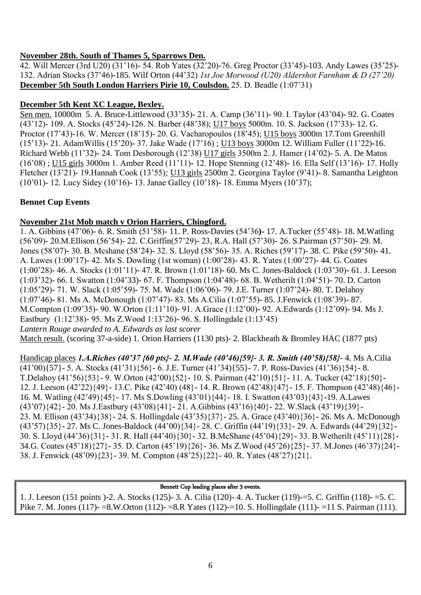# **November 28th. South of Thames 5, Sparrows Den.**

42. Will Mercer (3rd U20) (31"16)- 54. Rob Yates (32"20)-76. Greg Proctor (33"45)-103. Andy Lawes (35"25)- 132. Adrian Stocks (37"46)-185. Wilf Orton (44"32) *1st Joe Morwood (U20) Aldershot Farnham & D (27"20)* **December 5th South London Harriers Pirie 10, Coulsdon.** 25. D. Beadle (1:07"31)

# **December 5th Kent XC League, Bexley.**

Sen men. 10000m 5. A. Bruce-Littlewood (33"35)- 21. A. Camp (36"11)- 90. I. Taylor (43"04)- 92. G. Coates (43"12)- 109. A. Stocks (45"24)-126. N. Barber (48"38); U17 boys 5000m. 10. S. Jackson (17"33)- 12. G. Proctor (17'43)-16. W. Mercer (18'15)- 20. G. Vacharopoulos (18'45); U15 boys 3000m 17. Tom Greenhill (15"13)- 21. AdamWillis (15"20)- 37. Jake Wade (17"16) ; U13 boys 3000m 12. William Fuller (11"22)-16. Richard Webb (11"32)- 24. Tom Desborough (12"38) U17 girls 3500m 2. J. Hamer (14"02)- 5. A. De Matos (16"08) ; U15 girls 3000m 1. Amber Reed (11"11)- 12. Hope Stenning (12"48)- 16. Ella Self (13"16)- 17. Holly Fletcher (13"21)- 19.Hannah Cook (13"55)*;* U13 girls 2500m 2. Georgina Taylor (9"41)- 8. Samantha Leighton (10"01)- 12. Lucy Sidey (10"16)- 13. Janae Galley (10"18)- 18. Emma Myers (10"37);

# **Bennet Cup Events**

# **November 21st Mob match v Orion Harriers, Chingford.**

1. A. Gibbins (47"06)- 6. R. Smith (51"58)- 11. P. Ross-Davies (54"36**)-** 17. A.Tucker (55"48)- 18. M.Watling (56"09)- 20.M.Ellison (56"54)- 22. C.Griffin(57"29)- 23, R.A. Hall (57"30)- 26. S.Pairman (57"50)- 29. M. Jones (58"07)- 30. B. Mcshane (58"24)- 32. S. Lloyd (58"56)- 35. A. Riches (59"17)- 38. C. Pike (59"50)- 41. A. Lawes (1:00"17)- 42. Ms S. Dowling (1st woman) (1:00"28)- 43. R. Yates (1:00"27)- 44. G. Coates (1:00"28)- 46. A. Stocks (1:01"11)- 47. R. Brown (1:01"18)- 60. Ms C. Jones-Baldock (1:03"30)- 61. J. Leeson (1:03"32)- 66. I. Swatton (1:04"33)- 67. F. Thompson (1:04"48)- 68. B. Wetherilt (1:04"51)- 70. D. Carton (1:05"29)- 71. W. Slack (1:05"59)- 75. M. Wade (1:06"06)- 79. J.E. Turner (1:07"24)- 80. T. Delahoy (1:07"46)- 81. Ms A. McDonough (1:07"47)- 83. Ms A.Cilia (1:07"55)- 85. J.Fenwick (1:08"39)- 87. M.Compton (1:09"35)- 90. W.Orton (1:11"10)- 91. A.Grace (1:12"00)- 92. A.Edwards (1:12"09)- 94. Ms J. Eastbury (1:12"38)- 95. Ms Z.Wood 1:13"26)- 96. S. Hollingdale (1:13"45) *Lantern Rouge awarded to A. Edwards as last scorer* Match result. (scoring 37-a-side) 1. Orion Harriers (1130 pts)- 2. Blackheath & Bromley HAC (1877 pts)

Handicap places *1.A.Riches (40'37 {60 pts}- 2. M.Wade (40'46){59}- 3. R. Smith (40'58){58}*- 4. Ms A.Cilia (41"00){57}- 5. A. Stocks (41"31){56}- 6. J.E. Turner (41"34){55}- 7. P. Ross-Davies (41"36){54}- 8. T.Delahoy (41"56){53}- 9. W.Orton (42"00){52}- 10. S. Pairman (42"10){51}- 11. A. Tucker (42"18){50}- 12. J. Leeson (42"22){49}- 13.C. Pike (42"40) (48}- 14. R. Brown (42"48){47}- 15. F. Thompson (42"48){46}- 16. M. Watling (42"49){45}- 17. Ms S.Dowling (43"01){44}- 18. I. Swatton (43"03){43}-19. A.Lawes (43"07){42}- 20. Ms J.Eastbury (43"08){41}- 21. A.Gibbins (43"16){40}- 22. W.Slack (43"19){39}- 23. M. Ellison (43"34){38}- 24. S. Hollingdale (43"35){37}- 25. A. Grace (43"40){36}- 26. Ms A. McDonough (43"57){35}- 27. Ms C. Jones-Baldock (44"00){34}- 28. C. Griffin (44"19){33}- 29. A. Edwards (44"29){32}- 30. S. Lloyd (44"36){31}- 31. R. Hall (44"40){30}- 32. B.McShane (45"04){29}- 33. B.Wetherilt (45"11){28}- 34.G. Coates (45"18){27}- 35. D. Carton (45"19){26}- 36. Ms Z.Wood (45"26){25}- 37. M.Jones (46"37){24}- 38. J. Fenwick (48"09){23}- 39. M. Compton (48"25){22}- 40. R. Yates (48"27){21}.

## Bennett Cup leading places after 3 events.

1. J. Leeson (151 points )-2. A. Stocks (125)- 3. A. Cilia (120)- 4. A. Tucker (119)-=5. C. Griffin (118)- =5. C. Pike 7. M. Jones (117)- =8.W.Orton (112)- =8.R Yates (112)-=10. S. Hollingdale (111)- =11 S. Pairman (111).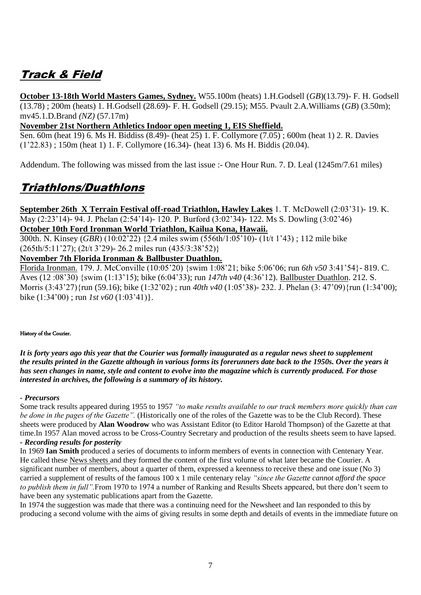# Track & Field

**October 13-18th World Masters Games, Sydney.** W55.100m (heats) 1.H.Godsell (*GB*)(13.79)- F. H. Godsell (13.78) ; 200m (heats) 1. H.Godsell (28.69)- F. H. Godsell (29.15); M55. Pvault 2.A.Williams (*GB*) (3.50m); mv45.1.D.Brand *(NZ)* (57.17m)

## **November 21st Northern Athletics Indoor open meeting 1, EIS Sheffield.**

Sen. 60m (heat 19) 6. Ms H. Biddiss (8.49)- (heat 25) 1. F. Collymore (7.05) ; 600m (heat 1) 2. R. Davies (1"22.83) ; 150m (heat 1) 1. F. Collymore (16.34)- (heat 13) 6. Ms H. Biddis (20.04).

Addendum. The following was missed from the last issue :- One Hour Run. 7. D. Leal (1245m/7.61 miles)

# Triathlons/Duathlons

**September 26th X Terrain Festival off-road Triathlon, Hawley Lakes** 1. T. McDowell (2:03"31)- 19. K. May (2:23"14)- 94. J. Phelan (2:54"14)- 120. P. Burford (3:02"34)- 122. Ms S. Dowling (3:02"46) **October 10th Ford Ironman World Triathlon, Kailua Kona, Hawaii.**

300th. N. Kinsey (*GBR*) (10:02"22) {2.4 miles swim (556th/1:05"10)- (1t/t 1"43) ; 112 mile bike (265th/5:11"27); (2t/t 3"29)- 26.2 miles run (435/3:38"52)}

# **November 7th Florida Ironman & Ballbuster Duathlon.**

Florida Ironman. 179. J. McConville (10:05"20) {swim 1:08"21; bike 5:06"06; run *6th v50* 3:41"54}- 819. C. Aves (12 :08"30) {swim (1:13"15); bike (6:04"33); run *147th v40* (4:36"12). Ballbuster Duathlon. 212. S. Morris (3:43"27){run (59.16); bike (1:32"02) ; run *40th v40* (1:05"38)- 232. J. Phelan (3: 47"09){run (1:34"00); bike  $(1:34'00)$ ; run *1st v60*  $(1:03'41)$ .

#### History of the Courier.

*It is forty years ago this year that the Courier was formally inaugurated as a regular news sheet to supplement the results printed in the Gazette although in various forms its forerunners date back to the 1950s. Over the years it has seen changes in name, style and content to evolve into the magazine which is currently produced. For those interested in archives, the following is a summary of its history.* 

## *- Precursors*

Some track results appeared during 1955 to 1957 *"to make results available to our track members more quickly than can be done in the pages of the Gazette".* (Historically one of the roles of the Gazette was to be the Club Record). These sheets were produced by **Alan Woodrow** who was Assistant Editor (to Editor Harold Thompson) of the Gazette at that time.In 1957 Alan moved across to be Cross-Country Secretary and production of the results sheets seem to have lapsed. *- Recording results for posterity*

In 1969 **Ian Smith** produced a series of documents to inform members of events in connection with Centenary Year. He called these News sheets and they formed the content of the first volume of what later became the Courier. A significant number of members, about a quarter of them, expressed a keenness to receive these and one issue (No 3) carried a supplement of results of the famous 100 x 1 mile centenary relay *"since the Gazette cannot afford the space to publish them in full".*From 1970 to 1974 a number of Ranking and Results Sheets appeared, but there don"t seem to have been any systematic publications apart from the Gazette.

In 1974 the suggestion was made that there was a continuing need for the Newsheet and Ian responded to this by producing a second volume with the aims of giving results in some depth and details of events in the immediate future on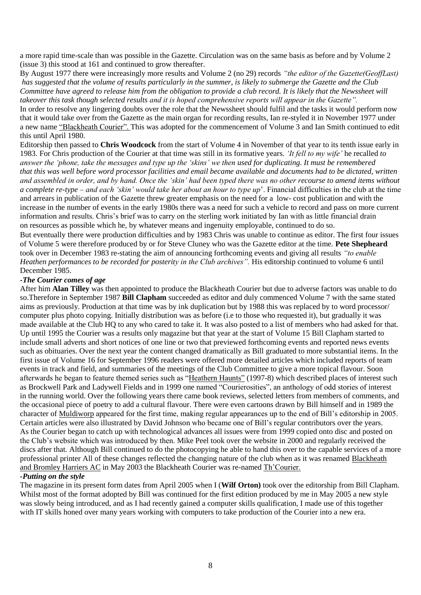a more rapid time-scale than was possible in the Gazette. Circulation was on the same basis as before and by Volume 2 (issue 3) this stood at 161 and continued to grow thereafter.

By August 1977 there were increasingly more results and Volume 2 (no 29) records *"the editor of the Gazette(GeoffLast) has suggested that the volume of results particularly in the summer, is likely to submerge the Gazette and the Club Committee have agreed to release him from the obligation to provide a club record. It is likely that the Newssheet will takeover this task though selected results and it is hoped comprehensive reports will appear in the Gazette".*

In order to resolve any lingering doubts over the role that the Newssheet should fulfil and the tasks it would perform now that it would take over from the Gazette as the main organ for recording results, Ian re-styled it in November 1977 under a new name "Blackheath Courier". This was adopted for the commencement of Volume 3 and Ian Smith continued to edit this until April 1980.

Editorship then passed to **Chris Woodcock** from the start of Volume 4 in November of that year to its tenth issue early in 1983. For Chris production of the Courier at that time was still in its formative years. *"It fell to my wife"* he recalled *to answer the "phone, take the messages and type up the "skins" we then used for duplicating. It must be remembered that this was well before word processor facilities and email became available and documents had to be dictated, written and assembled in order, and by hand. Once the "skin" had been typed there was no other recourse to amend items without a complete re-type – and each "skin" would take her about an hour to type up*". Financial difficulties in the club at the time and arrears in publication of the Gazette threw greater emphasis on the need for a low- cost publication and with the increase in the number of events in the early 1980s there was a need for such a vehicle to record and pass on more current information and results. Chris"s brief was to carry on the sterling work initiated by Ian with as little financial drain on resources as possible which he, by whatever means and ingenuity employable, continued to do so.

But eventually there were production difficulties and by 1983 Chris was unable to continue as editor. The first four issues of Volume 5 were therefore produced by or for Steve Cluney who was the Gazette editor at the time. **Pete Shepheard** took over in December 1983 re-stating the aim of announcing forthcoming events and giving all results *"to enable Heathen performances to be recorded for posterity in the Club archives".* His editorship continued to volume 6 until December 1985.

#### *-The Courier comes of age*

After him **Alan Tilley** was then appointed to produce the Blackheath Courier but due to adverse factors was unable to do so.Therefore in September 1987 **Bill Clapham** succeeded as editor and duly commenced Volume 7 with the same stated aims as previously. Production at that time was by ink duplication but by 1988 this was replaced by to word processor/ computer plus photo copying. Initially distribution was as before (i.e to those who requested it), but gradually it was made available at the Club HQ to any who cared to take it. It was also posted to a list of members who had asked for that. Up until 1995 the Courier was a results only magazine but that year at the start of Volume 15 Bill Clapham started to include small adverts and short notices of one line or two that previewed forthcoming events and reported news events such as obituaries. Over the next year the content changed dramatically as Bill graduated to more substantial items. In the first issue of Volume 16 for September 1996 readers were offered more detailed articles which included reports of team events in track and field, and summaries of the meetings of the Club Committee to give a more topical flavour. Soon afterwards he began to feature themed series such as "Heathern Haunts" (1997-8) which described places of interest such as Brockwell Park and Ladywell Fields and in 1999 one named "Courierosities", an anthology of odd stories of interest in the running world. Over the following years there came book reviews, selected letters from members of comments, and the occasional piece of poetry to add a cultural flavour. There were even cartoons drawn by Bill himself and in 1989 the character of Muldiworp appeared for the first time, making regular appearances up to the end of Bill"s editorship in 2005. Certain articles were also illustrated by David Johnson who became one of Bill"s regular contributors over the years. As the Courier began to catch up with technological advances all issues were from 1999 copied onto disc and posted on the Club"s website which was introduced by then. Mike Peel took over the website in 2000 and regularly received the discs after that. Although Bill continued to do the photocopying he able to hand this over to the capable services of a more professional printer All of these changes reflected the changing nature of the club when as it was renamed Blackheath and Bromley Harriers AC in May 2003 the Blackheath Courier was re-named Th"Courier.

## *-Putting on the style*

The magazine in its present form dates from April 2005 when I (**Wilf Orton)** took over the editorship from Bill Clapham. Whilst most of the format adopted by Bill was continued for the first edition produced by me in May 2005 a new style was slowly being introduced, and as I had recently gained a computer skills qualification, I made use of this together with IT skills honed over many years working with computers to take production of the Courier into a new era.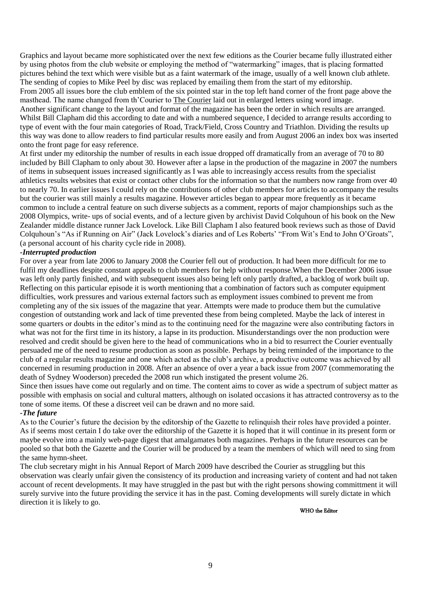Graphics and layout became more sophisticated over the next few editions as the Courier became fully illustrated either by using photos from the club website or employing the method of "watermarking" images, that is placing formatted pictures behind the text which were visible but as a faint watermark of the image, usually of a well known club athlete. The sending of copies to Mike Peel by disc was replaced by emailing them from the start of my editorship. From 2005 all issues bore the club emblem of the six pointed star in the top left hand corner of the front page above the masthead. The name changed from th'Courier to The Courier laid out in enlarged letters using word image. Another significant change to the layout and format of the magazine has been the order in which results are arranged. Whilst Bill Clapham did this according to date and with a numbered sequence, I decided to arrange results according to type of event with the four main categories of Road, Track/Field, Cross Country and Triathlon. Dividing the results up this way was done to allow readers to find particular results more easily and from August 2006 an index box was inserted onto the front page for easy reference.

At first under my editorship the number of results in each issue dropped off dramatically from an average of 70 to 80 included by Bill Clapham to only about 30. However after a lapse in the production of the magazine in 2007 the numbers of items in subsequent issues increased significantly as I was able to increasingly access results from the specialist athletics results websites that exist or contact other clubs for the information so that the numbers now range from over 40 to nearly 70. In earlier issues I could rely on the contributions of other club members for articles to accompany the results but the courier was still mainly a results magazine. However articles began to appear more frequently as it became common to include a central feature on such diverse subjects as a comment, reports of major championships such as the 2008 Olympics, write- ups of social events, and of a lecture given by archivist David Colquhoun of his book on the New Zealander middle distance runner Jack Lovelock. Like Bill Clapham I also featured book reviews such as those of David Colquhoun's "As if Running on Air" (Jack Lovelock's diaries and of Les Roberts' "From Wit's End to John O'Groats", (a personal account of his charity cycle ride in 2008).

#### *-Interrupted production*

For over a year from late 2006 to January 2008 the Courier fell out of production. It had been more difficult for me to fulfil my deadlines despite constant appeals to club members for help without response.When the December 2006 issue was left only partly finished, and with subsequent issues also being left only partly drafted, a backlog of work built up. Reflecting on this particular episode it is worth mentioning that a combination of factors such as computer equipment difficulties, work pressures and various external factors such as employment issues combined to prevent me from completing any of the six issues of the magazine that year. Attempts were made to produce them but the cumulative congestion of outstanding work and lack of time prevented these from being completed. Maybe the lack of interest in some quarters or doubts in the editor's mind as to the continuing need for the magazine were also contributing factors in what was not for the first time in its history, a lapse in its production. Misunderstandings over the non production were resolved and credit should be given here to the head of communications who in a bid to resurrect the Courier eventually persuaded me of the need to resume production as soon as possible. Perhaps by being reminded of the importance to the club of a regular results magazine and one which acted as the club"s archive, a productive outcome was achieved by all concerned in resuming production in 2008. After an absence of over a year a back issue from 2007 (commemorating the death of Sydney Wooderson) preceded the 2008 run which instigated the present volume 26.

Since then issues have come out regularly and on time. The content aims to cover as wide a spectrum of subject matter as possible with emphasis on social and cultural matters, although on isolated occasions it has attracted controversy as to the tone of some items. Of these a discreet veil can be drawn and no more said.

#### *-The future*

As to the Courier"s future the decision by the editorship of the Gazette to relinquish their roles have provided a pointer. As if seems most certain I do take over the editorship of the Gazette it is hoped that it will continue in its present form or maybe evolve into a mainly web-page digest that amalgamates both magazines. Perhaps in the future resources can be pooled so that both the Gazette and the Courier will be produced by a team the members of which will need to sing from the same hymn-sheet.

The club secretary might in his Annual Report of March 2009 have described the Courier as struggling but this observation was clearly unfair given the consistency of its production and increasing variety of content and had not taken account of recent developments. It may have struggled in the past but with the right persons showing committment it will surely survive into the future providing the service it has in the past. Coming developments will surely dictate in which direction it is likely to go.

WHO the Editor